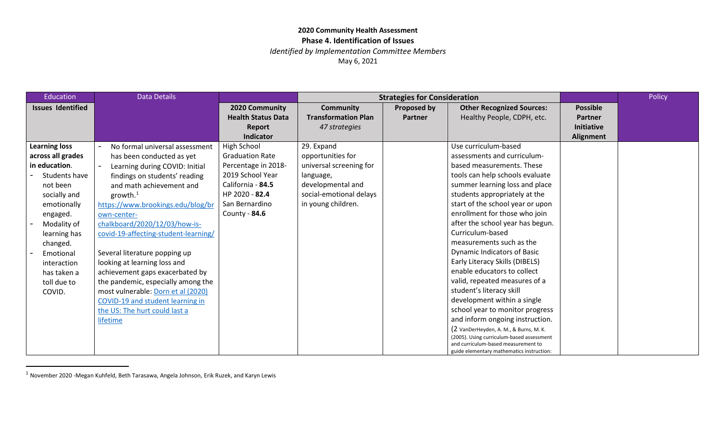<span id="page-0-0"></span>*Identified by Implementation Committee Members*

| Education                | <b>Data Details</b>                  |                           |                            | <b>Strategies for Consideration</b> |                                                                                  |                   | Policy |
|--------------------------|--------------------------------------|---------------------------|----------------------------|-------------------------------------|----------------------------------------------------------------------------------|-------------------|--------|
| <b>Issues Identified</b> |                                      | 2020 Community            | <b>Community</b>           | Proposed by                         | <b>Other Recognized Sources:</b>                                                 | <b>Possible</b>   |        |
|                          |                                      | <b>Health Status Data</b> | <b>Transformation Plan</b> | <b>Partner</b>                      | Healthy People, CDPH, etc.                                                       | Partner           |        |
|                          |                                      | Report                    | 47 strategies              |                                     |                                                                                  | <b>Initiative</b> |        |
|                          |                                      | <b>Indicator</b>          |                            |                                     |                                                                                  | Alignment         |        |
| <b>Learning loss</b>     | No formal universal assessment       | High School               | 29. Expand                 |                                     | Use curriculum-based                                                             |                   |        |
| across all grades        | has been conducted as yet            | <b>Graduation Rate</b>    | opportunities for          |                                     | assessments and curriculum-                                                      |                   |        |
| in education.            | Learning during COVID: Initial       | Percentage in 2018-       | universal screening for    |                                     | based measurements. These                                                        |                   |        |
| Students have            | findings on students' reading        | 2019 School Year          | language,                  |                                     | tools can help schools evaluate                                                  |                   |        |
| not been                 | and math achievement and             | California - 84.5         | developmental and          |                                     | summer learning loss and place                                                   |                   |        |
| socially and             | growth. $^1$                         | HP 2020 - 82.4            | social-emotional delays    |                                     | students appropriately at the                                                    |                   |        |
| emotionally              | https://www.brookings.edu/blog/br    | San Bernardino            | in young children.         |                                     | start of the school year or upon                                                 |                   |        |
| engaged.                 | own-center-                          | County - 84.6             |                            |                                     | enrollment for those who join                                                    |                   |        |
| Modality of              | chalkboard/2020/12/03/how-is-        |                           |                            |                                     | after the school year has begun.                                                 |                   |        |
| learning has             | covid-19-affecting-student-learning/ |                           |                            |                                     | Curriculum-based                                                                 |                   |        |
| changed.                 |                                      |                           |                            |                                     | measurements such as the                                                         |                   |        |
| Emotional                | Several literature popping up        |                           |                            |                                     | <b>Dynamic Indicators of Basic</b>                                               |                   |        |
| interaction              | looking at learning loss and         |                           |                            |                                     | Early Literacy Skills (DIBELS)                                                   |                   |        |
| has taken a              | achievement gaps exacerbated by      |                           |                            |                                     | enable educators to collect                                                      |                   |        |
| toll due to              | the pandemic, especially among the   |                           |                            |                                     | valid, repeated measures of a                                                    |                   |        |
| COVID.                   | most vulnerable: Dorn et al (2020)   |                           |                            |                                     | student's literacy skill                                                         |                   |        |
|                          | COVID-19 and student learning in     |                           |                            |                                     | development within a single                                                      |                   |        |
|                          | the US: The hurt could last a        |                           |                            |                                     | school year to monitor progress                                                  |                   |        |
|                          | lifetime                             |                           |                            |                                     | and inform ongoing instruction.                                                  |                   |        |
|                          |                                      |                           |                            |                                     | (2 VanDerHeyden, A. M., & Burns, M. K.                                           |                   |        |
|                          |                                      |                           |                            |                                     | (2005). Using curriculum-based assessment<br>and curriculum-based measurement to |                   |        |
|                          |                                      |                           |                            |                                     | guide elementary mathematics instruction:                                        |                   |        |

 $1$  November 2020 -Megan Kuhfeld, Beth Tarasawa, Angela Johnson, Erik Ruzek, and Karyn Lewis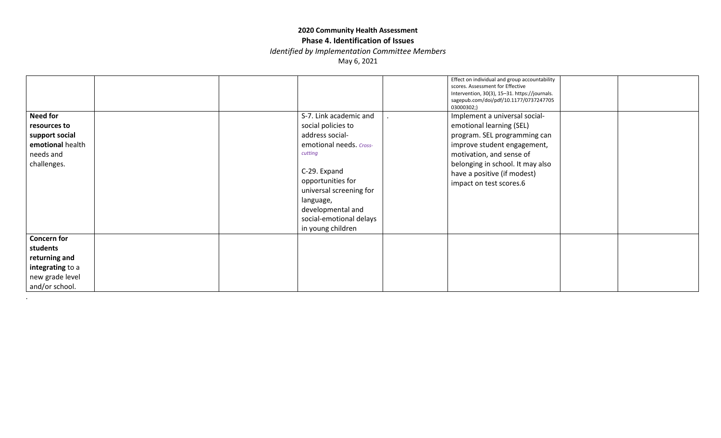*Identified by Implementation Committee Members*

May 6, 2021

|                                                                                                          |  |                                                                                                                                                                                                                                                         | Effect on individual and group accountability<br>scores. Assessment for Effective<br>Intervention, 30(3), 15-31. https://journals.<br>sagepub.com/doi/pdf/10.1177/0737247705<br>03000302;)                                                         |  |
|----------------------------------------------------------------------------------------------------------|--|---------------------------------------------------------------------------------------------------------------------------------------------------------------------------------------------------------------------------------------------------------|----------------------------------------------------------------------------------------------------------------------------------------------------------------------------------------------------------------------------------------------------|--|
| <b>Need for</b><br>resources to<br>support social<br>emotional health<br>needs and<br>challenges.        |  | S-7. Link academic and<br>social policies to<br>address social-<br>emotional needs. Cross-<br>cutting<br>C-29. Expand<br>opportunities for<br>universal screening for<br>language,<br>developmental and<br>social-emotional delays<br>in young children | Implement a universal social-<br>emotional learning (SEL)<br>program. SEL programming can<br>improve student engagement,<br>motivation, and sense of<br>belonging in school. It may also<br>have a positive (if modest)<br>impact on test scores.6 |  |
| <b>Concern for</b><br>students<br>returning and<br>integrating to a<br>new grade level<br>and/or school. |  |                                                                                                                                                                                                                                                         |                                                                                                                                                                                                                                                    |  |

.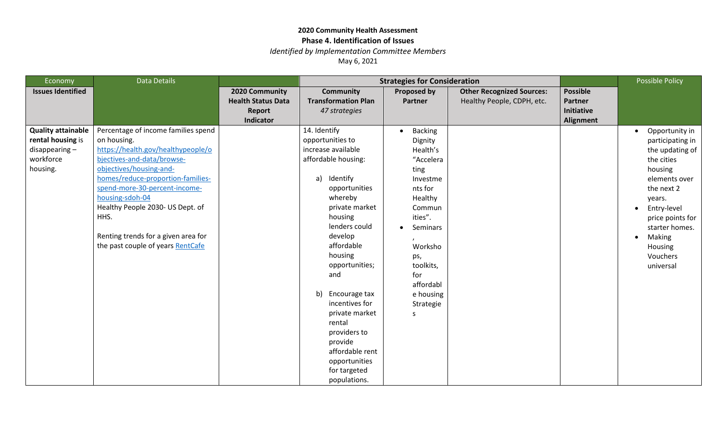*Identified by Implementation Committee Members*

| <b>Economy</b>                                                                              | <b>Data Details</b>                                                                                                                                                                                                                                                                                                                                                |                                                                           | <b>Strategies for Consideration</b>                                                                                                                                                                                                                                                                                                                                                                        |                                                                                                                                                                                                                  |                                                                |                                                              | <b>Possible Policy</b>                                                                                                                                                                                                     |
|---------------------------------------------------------------------------------------------|--------------------------------------------------------------------------------------------------------------------------------------------------------------------------------------------------------------------------------------------------------------------------------------------------------------------------------------------------------------------|---------------------------------------------------------------------------|------------------------------------------------------------------------------------------------------------------------------------------------------------------------------------------------------------------------------------------------------------------------------------------------------------------------------------------------------------------------------------------------------------|------------------------------------------------------------------------------------------------------------------------------------------------------------------------------------------------------------------|----------------------------------------------------------------|--------------------------------------------------------------|----------------------------------------------------------------------------------------------------------------------------------------------------------------------------------------------------------------------------|
| <b>Issues Identified</b>                                                                    |                                                                                                                                                                                                                                                                                                                                                                    | 2020 Community<br><b>Health Status Data</b><br><b>Report</b><br>Indicator | <b>Community</b><br><b>Transformation Plan</b><br>47 strategies                                                                                                                                                                                                                                                                                                                                            | Proposed by<br><b>Partner</b>                                                                                                                                                                                    | <b>Other Recognized Sources:</b><br>Healthy People, CDPH, etc. | <b>Possible</b><br><b>Partner</b><br>Initiative<br>Alignment |                                                                                                                                                                                                                            |
| <b>Quality attainable</b><br>rental housing is<br>$disappearing -$<br>workforce<br>housing. | Percentage of income families spend<br>on housing.<br>https://health.gov/healthypeople/o<br>bjectives-and-data/browse-<br>objectives/housing-and-<br>homes/reduce-proportion-families-<br>spend-more-30-percent-income-<br>housing-sdoh-04<br>Healthy People 2030- US Dept. of<br>HHS.<br>Renting trends for a given area for<br>the past couple of years RentCafe |                                                                           | 14. Identify<br>opportunities to<br>increase available<br>affordable housing:<br>Identify<br>a)<br>opportunities<br>whereby<br>private market<br>housing<br>lenders could<br>develop<br>affordable<br>housing<br>opportunities;<br>and<br>b)<br>Encourage tax<br>incentives for<br>private market<br>rental<br>providers to<br>provide<br>affordable rent<br>opportunities<br>for targeted<br>populations. | <b>Backing</b><br>Dignity<br>Health's<br>"Accelera<br>ting<br>Investme<br>nts for<br>Healthy<br>Commun<br>ities".<br>Seminars<br>Worksho<br>ps,<br>toolkits,<br>for<br>affordabl<br>e housing<br>Strategie<br>S. |                                                                |                                                              | Opportunity in<br>participating in<br>the updating of<br>the cities<br>housing<br>elements over<br>the next 2<br>years.<br>Entry-level<br>price points for<br>starter homes.<br>Making<br>Housing<br>Vouchers<br>universal |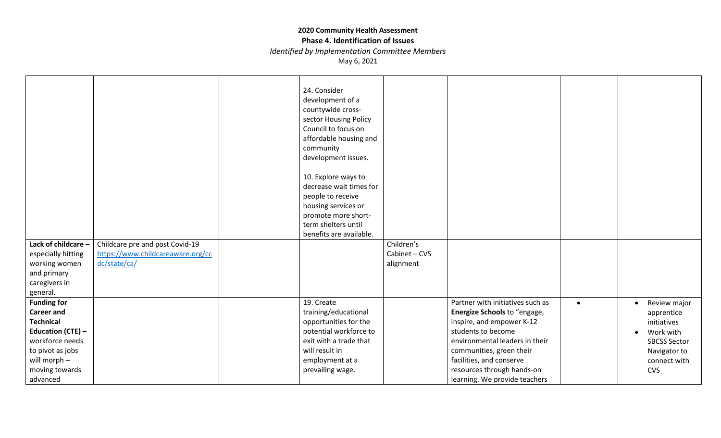# **Phase 4. Identification of Issues**

*Identified by Implementation Committee Members*

| Lack of childcare -                                                                                                                                                          | Childcare pre and post Covid-19   | 24. Consider<br>development of a<br>countywide cross-<br>sector Housing Policy<br>Council to focus on<br>affordable housing and<br>community<br>development issues.<br>10. Explore ways to<br>decrease wait times for<br>people to receive<br>housing services or<br>promote more short-<br>term shelters until<br>benefits are available. | Children's    |                                                                                                                                                                                                                                                                              |           |                                                                                                                                                       |
|------------------------------------------------------------------------------------------------------------------------------------------------------------------------------|-----------------------------------|--------------------------------------------------------------------------------------------------------------------------------------------------------------------------------------------------------------------------------------------------------------------------------------------------------------------------------------------|---------------|------------------------------------------------------------------------------------------------------------------------------------------------------------------------------------------------------------------------------------------------------------------------------|-----------|-------------------------------------------------------------------------------------------------------------------------------------------------------|
| especially hitting                                                                                                                                                           | https://www.childcareaware.org/cc |                                                                                                                                                                                                                                                                                                                                            | Cabinet - CVS |                                                                                                                                                                                                                                                                              |           |                                                                                                                                                       |
| working women                                                                                                                                                                | dc/state/ca/                      |                                                                                                                                                                                                                                                                                                                                            | alignment     |                                                                                                                                                                                                                                                                              |           |                                                                                                                                                       |
| and primary                                                                                                                                                                  |                                   |                                                                                                                                                                                                                                                                                                                                            |               |                                                                                                                                                                                                                                                                              |           |                                                                                                                                                       |
| caregivers in<br>general.                                                                                                                                                    |                                   |                                                                                                                                                                                                                                                                                                                                            |               |                                                                                                                                                                                                                                                                              |           |                                                                                                                                                       |
| <b>Funding for</b><br><b>Career and</b><br><b>Technical</b><br><b>Education (CTE) -</b><br>workforce needs<br>to pivot as jobs<br>will morph -<br>moving towards<br>advanced |                                   | 19. Create<br>training/educational<br>opportunities for the<br>potential workforce to<br>exit with a trade that<br>will result in<br>employment at a<br>prevailing wage.                                                                                                                                                                   |               | Partner with initiatives such as<br>Energize Schools to "engage,<br>inspire, and empower K-12<br>students to become<br>environmental leaders in their<br>communities, green their<br>facilities, and conserve<br>resources through hands-on<br>learning. We provide teachers | $\bullet$ | Review major<br>$\bullet$<br>apprentice<br>initiatives<br>Work with<br>$\bullet$<br><b>SBCSS Sector</b><br>Navigator to<br>connect with<br><b>CVS</b> |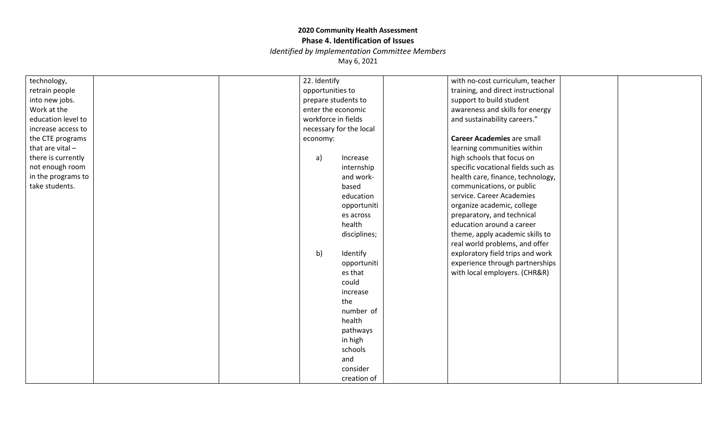*Identified by Implementation Committee Members*

| technology,        | 22. Identify             | with no-cost curriculum, teacher   |
|--------------------|--------------------------|------------------------------------|
| retrain people     | opportunities to         | training, and direct instructional |
| into new jobs.     | prepare students to      | support to build student           |
| Work at the        | enter the economic       | awareness and skills for energy    |
| education level to | workforce in fields      | and sustainability careers."       |
| increase access to | necessary for the local  |                                    |
| the CTE programs   | economy:                 | <b>Career Academies are small</b>  |
| that are vital $-$ |                          | learning communities within        |
| there is currently | $\mathsf{a}$<br>Increase | high schools that focus on         |
| not enough room    | internship               | specific vocational fields such as |
| in the programs to | and work-                | health care, finance, technology,  |
| take students.     | based                    | communications, or public          |
|                    | education                | service. Career Academies          |
|                    | opportuniti              | organize academic, college         |
|                    | es across                | preparatory, and technical         |
|                    | health                   | education around a career          |
|                    | disciplines;             | theme, apply academic skills to    |
|                    |                          | real world problems, and offer     |
|                    | b)<br>Identify           | exploratory field trips and work   |
|                    | opportuniti              | experience through partnerships    |
|                    | es that                  | with local employers. (CHR&R)      |
|                    | could                    |                                    |
|                    | increase                 |                                    |
|                    | the                      |                                    |
|                    | number of                |                                    |
|                    | health                   |                                    |
|                    | pathways                 |                                    |
|                    | in high                  |                                    |
|                    | schools                  |                                    |
|                    | and                      |                                    |
|                    | consider                 |                                    |
|                    | creation of              |                                    |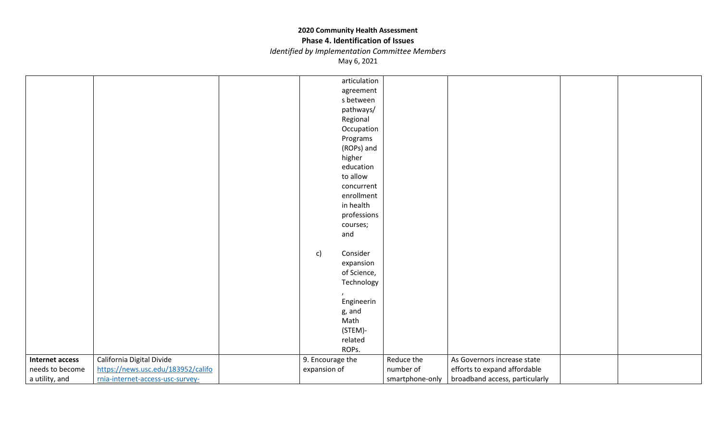#### **Phase 4. Identification of Issues**

*Identified by Implementation Committee Members*

|                        |                                    | articulation     |                 |                                |  |
|------------------------|------------------------------------|------------------|-----------------|--------------------------------|--|
|                        |                                    | agreement        |                 |                                |  |
|                        |                                    | s between        |                 |                                |  |
|                        |                                    | pathways/        |                 |                                |  |
|                        |                                    | Regional         |                 |                                |  |
|                        |                                    |                  |                 |                                |  |
|                        |                                    | Occupation       |                 |                                |  |
|                        |                                    | Programs         |                 |                                |  |
|                        |                                    | (ROPs) and       |                 |                                |  |
|                        |                                    | higher           |                 |                                |  |
|                        |                                    | education        |                 |                                |  |
|                        |                                    | to allow         |                 |                                |  |
|                        |                                    | concurrent       |                 |                                |  |
|                        |                                    | enrollment       |                 |                                |  |
|                        |                                    | in health        |                 |                                |  |
|                        |                                    | professions      |                 |                                |  |
|                        |                                    | courses;         |                 |                                |  |
|                        |                                    | and              |                 |                                |  |
|                        |                                    |                  |                 |                                |  |
|                        |                                    | Consider<br>c)   |                 |                                |  |
|                        |                                    | expansion        |                 |                                |  |
|                        |                                    | of Science,      |                 |                                |  |
|                        |                                    | Technology       |                 |                                |  |
|                        |                                    |                  |                 |                                |  |
|                        |                                    | Engineerin       |                 |                                |  |
|                        |                                    | g, and           |                 |                                |  |
|                        |                                    | Math             |                 |                                |  |
|                        |                                    | (STEM)-          |                 |                                |  |
|                        |                                    | related          |                 |                                |  |
|                        |                                    | ROPs.            |                 |                                |  |
| <b>Internet access</b> | California Digital Divide          | 9. Encourage the | Reduce the      | As Governors increase state    |  |
| needs to become        | https://news.usc.edu/183952/califo | expansion of     | number of       | efforts to expand affordable   |  |
| a utility, and         | rnia-internet-access-usc-survey-   |                  | smartphone-only | broadband access, particularly |  |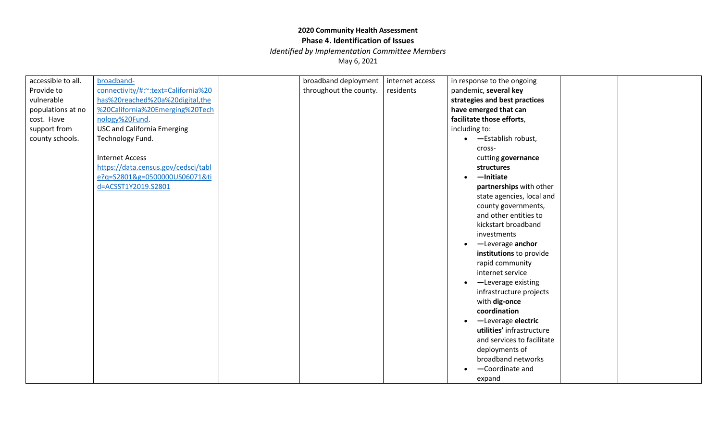*Identified by Implementation Committee Members*

| accessible to all. | broadband-                          | broadband deployment   | internet access | in response to the ongoing    |  |
|--------------------|-------------------------------------|------------------------|-----------------|-------------------------------|--|
| Provide to         | connectivity/#:~:text=California%20 | throughout the county. | residents       | pandemic, several key         |  |
| vulnerable         | has%20reached%20a%20digital,the     |                        |                 | strategies and best practices |  |
| populations at no  | %20California%20Emerging%20Tech     |                        |                 | have emerged that can         |  |
| cost. Have         | nology%20Fund.                      |                        |                 | facilitate those efforts,     |  |
| support from       | <b>USC and California Emerging</b>  |                        |                 | including to:                 |  |
| county schools.    | Technology Fund.                    |                        |                 | • - Establish robust,         |  |
|                    |                                     |                        |                 | cross-                        |  |
|                    | <b>Internet Access</b>              |                        |                 | cutting governance            |  |
|                    | https://data.census.gov/cedsci/tabl |                        |                 | structures                    |  |
|                    | e?q=S2801&g=0500000US06071&ti       |                        |                 | $-$ Initiate                  |  |
|                    | d=ACSST1Y2019.S2801                 |                        |                 | partnerships with other       |  |
|                    |                                     |                        |                 | state agencies, local and     |  |
|                    |                                     |                        |                 | county governments,           |  |
|                    |                                     |                        |                 | and other entities to         |  |
|                    |                                     |                        |                 | kickstart broadband           |  |
|                    |                                     |                        |                 | investments                   |  |
|                    |                                     |                        |                 | -Leverage anchor              |  |
|                    |                                     |                        |                 | institutions to provide       |  |
|                    |                                     |                        |                 | rapid community               |  |
|                    |                                     |                        |                 | internet service              |  |
|                    |                                     |                        |                 | -Leverage existing            |  |
|                    |                                     |                        |                 | infrastructure projects       |  |
|                    |                                     |                        |                 | with dig-once                 |  |
|                    |                                     |                        |                 | coordination                  |  |
|                    |                                     |                        |                 | -Leverage electric            |  |
|                    |                                     |                        |                 | utilities' infrastructure     |  |
|                    |                                     |                        |                 | and services to facilitate    |  |
|                    |                                     |                        |                 | deployments of                |  |
|                    |                                     |                        |                 | broadband networks            |  |
|                    |                                     |                        |                 | -Coordinate and               |  |
|                    |                                     |                        |                 | expand                        |  |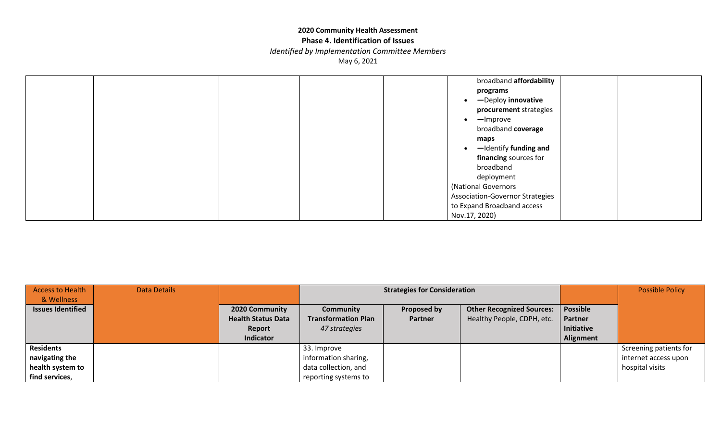#### **Phase 4. Identification of Issues**

*Identified by Implementation Committee Members*

|  |  | broadband affordability                |  |
|--|--|----------------------------------------|--|
|  |  | programs                               |  |
|  |  | -Deploy innovative                     |  |
|  |  | procurement strategies                 |  |
|  |  | -Improve                               |  |
|  |  | broadband coverage                     |  |
|  |  | maps                                   |  |
|  |  | -Identify funding and                  |  |
|  |  | financing sources for                  |  |
|  |  | broadband                              |  |
|  |  | deployment                             |  |
|  |  | (National Governors                    |  |
|  |  | <b>Association-Governor Strategies</b> |  |
|  |  | to Expand Broadband access             |  |
|  |  | Nov.17, 2020)                          |  |

| Access to Health         | <b>Data Details</b> |                           | <b>Strategies for Consideration</b> |                    |                                  |                 | <b>Possible Policy</b> |
|--------------------------|---------------------|---------------------------|-------------------------------------|--------------------|----------------------------------|-----------------|------------------------|
| & Wellness               |                     |                           |                                     |                    |                                  |                 |                        |
| <b>Issues Identified</b> |                     | 2020 Community            | <b>Community</b>                    | <b>Proposed by</b> | <b>Other Recognized Sources:</b> | <b>Possible</b> |                        |
|                          |                     | <b>Health Status Data</b> | <b>Transformation Plan</b>          | <b>Partner</b>     | Healthy People, CDPH, etc.       | Partner         |                        |
|                          |                     | Report                    | 47 strategies                       |                    |                                  | Initiative      |                        |
|                          |                     | <b>Indicator</b>          |                                     |                    |                                  | Alignment       |                        |
| <b>Residents</b>         |                     |                           | 33. Improve                         |                    |                                  |                 | Screening patients for |
| navigating the           |                     |                           | information sharing,                |                    |                                  |                 | internet access upon   |
| health system to         |                     |                           | data collection, and                |                    |                                  |                 | hospital visits        |
| find services,           |                     |                           | reporting systems to                |                    |                                  |                 |                        |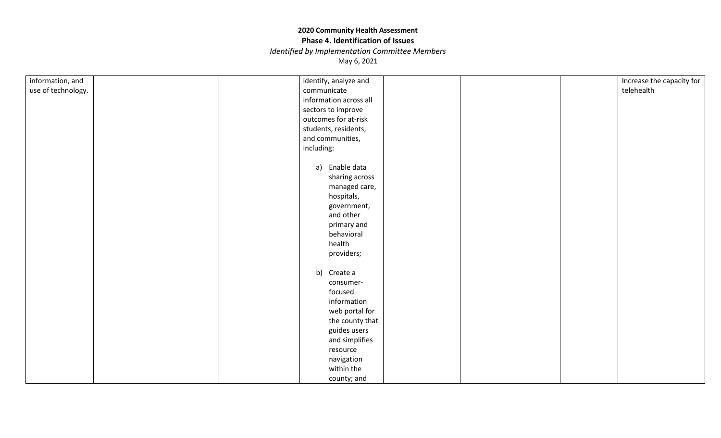*Identified by Implementation Committee Members*

| information, and   | identify, analyze and  | Increase the capacity for |
|--------------------|------------------------|---------------------------|
| use of technology. | communicate            | telehealth                |
|                    | information across all |                           |
|                    | sectors to improve     |                           |
|                    | outcomes for at-risk   |                           |
|                    | students, residents,   |                           |
|                    | and communities,       |                           |
|                    | including:             |                           |
|                    |                        |                           |
|                    | a) Enable data         |                           |
|                    | sharing across         |                           |
|                    | managed care,          |                           |
|                    | hospitals,             |                           |
|                    | government,            |                           |
|                    | and other              |                           |
|                    | primary and            |                           |
|                    | behavioral             |                           |
|                    | health                 |                           |
|                    | providers;             |                           |
|                    |                        |                           |
|                    | b) Create a            |                           |
|                    | consumer-              |                           |
|                    | focused                |                           |
|                    | information            |                           |
|                    | web portal for         |                           |
|                    | the county that        |                           |
|                    | guides users           |                           |
|                    | and simplifies         |                           |
|                    | resource               |                           |
|                    | navigation             |                           |
|                    | within the             |                           |
|                    | county; and            |                           |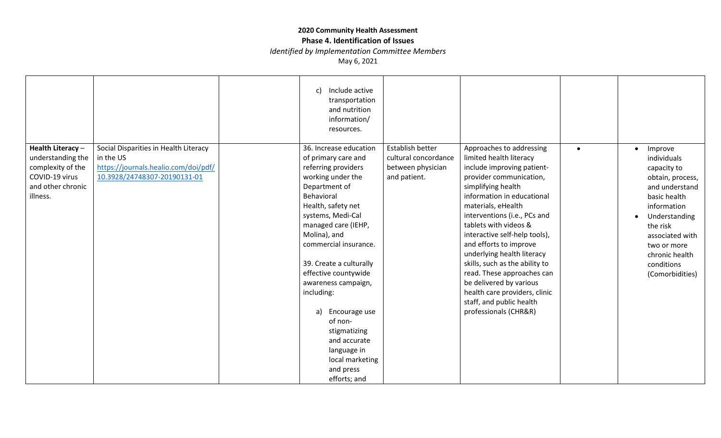## **Phase 4. Identification of Issues**

*Identified by Implementation Committee Members*

|                                                                                                                |                                                                                                                            | Include active<br>C)<br>transportation<br>and nutrition<br>information/<br>resources.                                                                                                                                                                                                                                                                                                                                                                        |                                                                               |                                                                                                                                                                                                                                                                                                                                                                                                                                                                                                                           |           |                                                                                                                                                                                                                                                        |
|----------------------------------------------------------------------------------------------------------------|----------------------------------------------------------------------------------------------------------------------------|--------------------------------------------------------------------------------------------------------------------------------------------------------------------------------------------------------------------------------------------------------------------------------------------------------------------------------------------------------------------------------------------------------------------------------------------------------------|-------------------------------------------------------------------------------|---------------------------------------------------------------------------------------------------------------------------------------------------------------------------------------------------------------------------------------------------------------------------------------------------------------------------------------------------------------------------------------------------------------------------------------------------------------------------------------------------------------------------|-----------|--------------------------------------------------------------------------------------------------------------------------------------------------------------------------------------------------------------------------------------------------------|
| Health Literacy -<br>understanding the<br>complexity of the<br>COVID-19 virus<br>and other chronic<br>illness. | Social Disparities in Health Literacy<br>in the US<br>https://journals.healio.com/doi/pdf/<br>10.3928/24748307-20190131-01 | 36. Increase education<br>of primary care and<br>referring providers<br>working under the<br>Department of<br>Behavioral<br>Health, safety net<br>systems, Medi-Cal<br>managed care (IEHP,<br>Molina), and<br>commercial insurance.<br>39. Create a culturally<br>effective countywide<br>awareness campaign,<br>including:<br>a)<br>Encourage use<br>of non-<br>stigmatizing<br>and accurate<br>language in<br>local marketing<br>and press<br>efforts; and | Establish better<br>cultural concordance<br>between physician<br>and patient. | Approaches to addressing<br>limited health literacy<br>include improving patient-<br>provider communication,<br>simplifying health<br>information in educational<br>materials, eHealth<br>interventions (i.e., PCs and<br>tablets with videos &<br>interactive self-help tools),<br>and efforts to improve<br>underlying health literacy<br>skills, such as the ability to<br>read. These approaches can<br>be delivered by various<br>health care providers, clinic<br>staff, and public health<br>professionals (CHR&R) | $\bullet$ | Improve<br>$\bullet$<br>individuals<br>capacity to<br>obtain, process,<br>and understand<br>basic health<br>information<br>Understanding<br>$\bullet$<br>the risk<br>associated with<br>two or more<br>chronic health<br>conditions<br>(Comorbidities) |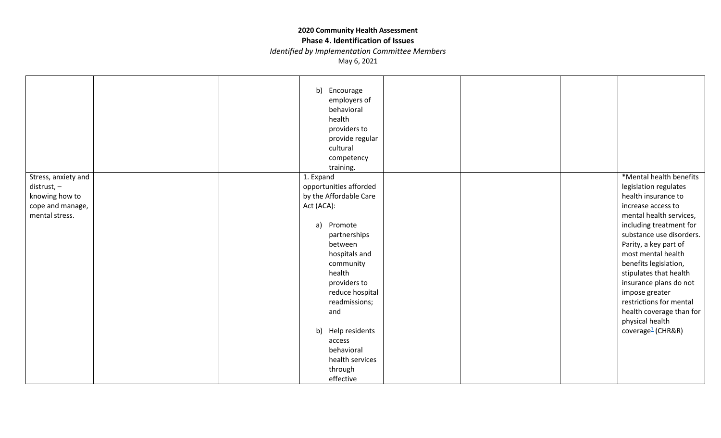#### **Phase 4. Identification of Issues**

*Identified by Implementation Committee Members*

|                     |  | b) Encourage<br>employers of<br>behavioral<br>health<br>providers to<br>provide regular<br>cultural<br>competency<br>training. |  |                               |
|---------------------|--|--------------------------------------------------------------------------------------------------------------------------------|--|-------------------------------|
| Stress, anxiety and |  | 1. Expand                                                                                                                      |  | *Mental health benefits       |
| distrust, -         |  | opportunities afforded                                                                                                         |  | legislation regulates         |
| knowing how to      |  | by the Affordable Care                                                                                                         |  | health insurance to           |
| cope and manage,    |  | Act (ACA):                                                                                                                     |  | increase access to            |
| mental stress.      |  |                                                                                                                                |  | mental health services,       |
|                     |  | a)<br>Promote                                                                                                                  |  | including treatment for       |
|                     |  | partnerships                                                                                                                   |  | substance use disorders.      |
|                     |  | between                                                                                                                        |  | Parity, a key part of         |
|                     |  | hospitals and                                                                                                                  |  | most mental health            |
|                     |  | community                                                                                                                      |  | benefits legislation,         |
|                     |  | health                                                                                                                         |  | stipulates that health        |
|                     |  | providers to                                                                                                                   |  | insurance plans do not        |
|                     |  | reduce hospital                                                                                                                |  | impose greater                |
|                     |  | readmissions;                                                                                                                  |  | restrictions for mental       |
|                     |  | and                                                                                                                            |  | health coverage than for      |
|                     |  |                                                                                                                                |  | physical health               |
|                     |  | b) Help residents                                                                                                              |  | coverage <sup>1</sup> (CHR&R) |
|                     |  | access                                                                                                                         |  |                               |
|                     |  | behavioral                                                                                                                     |  |                               |
|                     |  | health services                                                                                                                |  |                               |
|                     |  | through                                                                                                                        |  |                               |
|                     |  | effective                                                                                                                      |  |                               |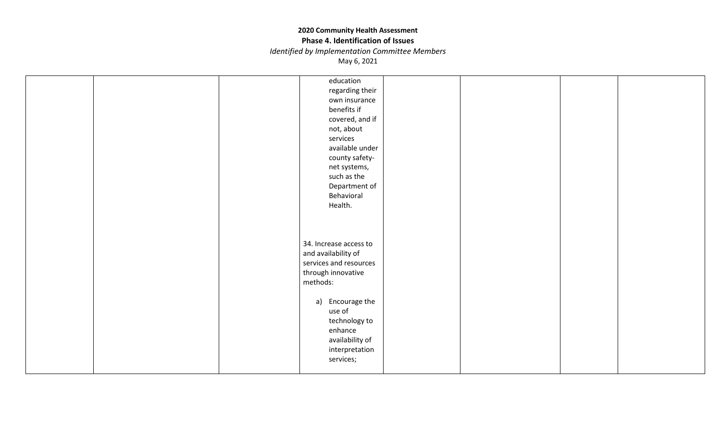#### **Phase 4. Identification of Issues**

*Identified by Implementation Committee Members*

|  | education<br>regarding their<br>own insurance<br>benefits if<br>covered, and if<br>not, about<br>services<br>available under<br>county safety-<br>net systems,<br>such as the |  |  |
|--|-------------------------------------------------------------------------------------------------------------------------------------------------------------------------------|--|--|
|  | Department of<br>Behavioral<br>Health.<br>34. Increase access to<br>and availability of<br>services and resources<br>through innovative<br>methods:                           |  |  |
|  | a) Encourage the<br>use of<br>technology to<br>enhance<br>availability of<br>interpretation<br>services;                                                                      |  |  |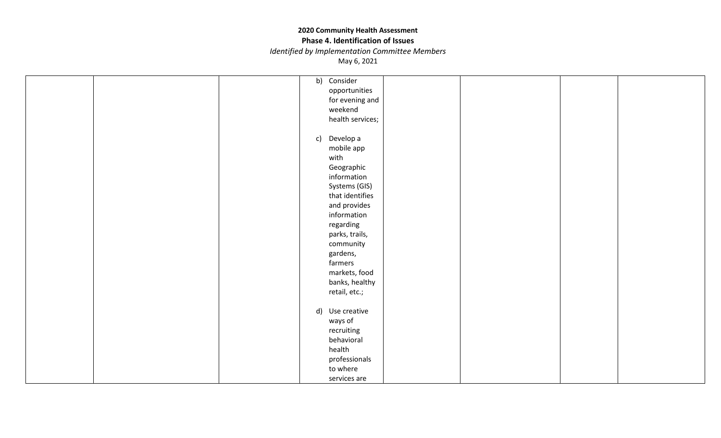#### **Phase 4. Identification of Issues**

*Identified by Implementation Committee Members*

|  |  | b) Consider         |  |  |
|--|--|---------------------|--|--|
|  |  | opportunities       |  |  |
|  |  | for evening and     |  |  |
|  |  | weekend             |  |  |
|  |  | health services;    |  |  |
|  |  |                     |  |  |
|  |  | c) Develop a        |  |  |
|  |  | mobile app          |  |  |
|  |  | with                |  |  |
|  |  | Geographic          |  |  |
|  |  | information         |  |  |
|  |  | Systems (GIS)       |  |  |
|  |  | that identifies     |  |  |
|  |  | and provides        |  |  |
|  |  | information         |  |  |
|  |  | regarding           |  |  |
|  |  | parks, trails,      |  |  |
|  |  | community           |  |  |
|  |  |                     |  |  |
|  |  | gardens,<br>farmers |  |  |
|  |  |                     |  |  |
|  |  | markets, food       |  |  |
|  |  | banks, healthy      |  |  |
|  |  | retail, etc.;       |  |  |
|  |  |                     |  |  |
|  |  | d) Use creative     |  |  |
|  |  | ways of             |  |  |
|  |  | recruiting          |  |  |
|  |  | behavioral          |  |  |
|  |  | health              |  |  |
|  |  | professionals       |  |  |
|  |  | to where            |  |  |
|  |  | services are        |  |  |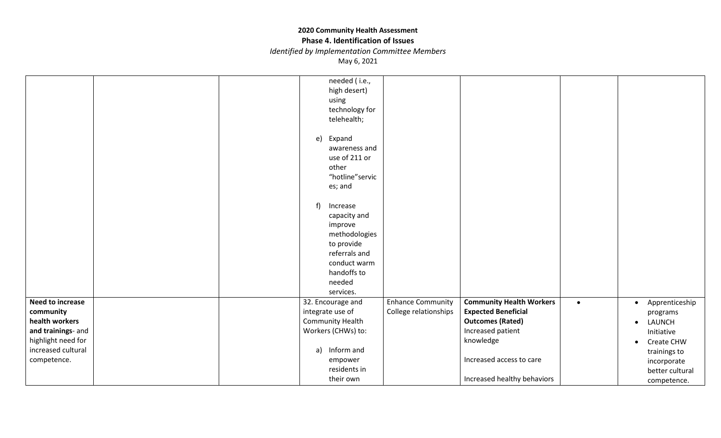**Phase 4. Identification of Issues**

*Identified by Implementation Committee Members*

|                    |  | needed (i.e.,      |                          |                                 |           |                             |
|--------------------|--|--------------------|--------------------------|---------------------------------|-----------|-----------------------------|
|                    |  | high desert)       |                          |                                 |           |                             |
|                    |  | using              |                          |                                 |           |                             |
|                    |  | technology for     |                          |                                 |           |                             |
|                    |  | telehealth;        |                          |                                 |           |                             |
|                    |  |                    |                          |                                 |           |                             |
|                    |  | e)<br>Expand       |                          |                                 |           |                             |
|                    |  | awareness and      |                          |                                 |           |                             |
|                    |  | use of 211 or      |                          |                                 |           |                             |
|                    |  | other              |                          |                                 |           |                             |
|                    |  | "hotline" servic   |                          |                                 |           |                             |
|                    |  | es; and            |                          |                                 |           |                             |
|                    |  |                    |                          |                                 |           |                             |
|                    |  | f)<br>Increase     |                          |                                 |           |                             |
|                    |  | capacity and       |                          |                                 |           |                             |
|                    |  | improve            |                          |                                 |           |                             |
|                    |  | methodologies      |                          |                                 |           |                             |
|                    |  | to provide         |                          |                                 |           |                             |
|                    |  | referrals and      |                          |                                 |           |                             |
|                    |  | conduct warm       |                          |                                 |           |                             |
|                    |  | handoffs to        |                          |                                 |           |                             |
|                    |  | needed             |                          |                                 |           |                             |
|                    |  | services.          |                          |                                 |           |                             |
| Need to increase   |  | 32. Encourage and  | <b>Enhance Community</b> | <b>Community Health Workers</b> | $\bullet$ | Apprenticeship<br>$\bullet$ |
| community          |  | integrate use of   | College relationships    | <b>Expected Beneficial</b>      |           | programs                    |
| health workers     |  | Community Health   |                          | <b>Outcomes (Rated)</b>         |           | LAUNCH<br>$\bullet$         |
| and trainings- and |  | Workers (CHWs) to: |                          | Increased patient               |           | Initiative                  |
| highlight need for |  |                    |                          | knowledge                       |           | Create CHW<br>$\bullet$     |
| increased cultural |  | Inform and<br>a)   |                          |                                 |           |                             |
| competence.        |  | empower            |                          | Increased access to care        |           | trainings to                |
|                    |  | residents in       |                          |                                 |           | incorporate                 |
|                    |  |                    |                          |                                 |           | better cultural             |
|                    |  | their own          |                          | Increased healthy behaviors     |           | competence.                 |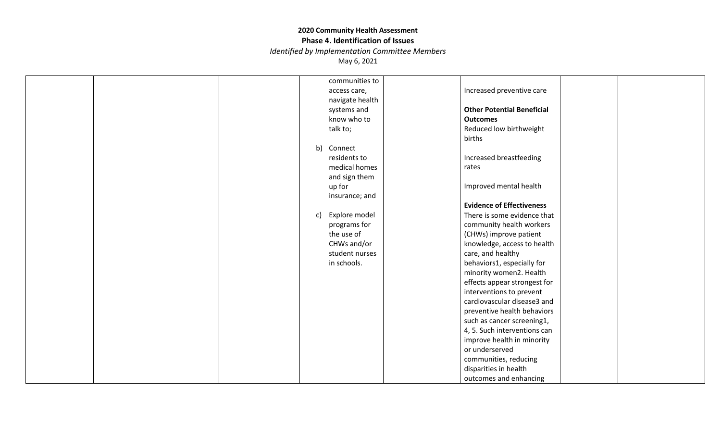#### **Phase 4. Identification of Issues**

*Identified by Implementation Committee Members*

|  | communities to      |                                   |  |
|--|---------------------|-----------------------------------|--|
|  | access care,        | Increased preventive care         |  |
|  | navigate health     |                                   |  |
|  | systems and         | <b>Other Potential Beneficial</b> |  |
|  | know who to         | <b>Outcomes</b>                   |  |
|  | talk to;            | Reduced low birthweight           |  |
|  |                     | births                            |  |
|  | b) Connect          |                                   |  |
|  | residents to        | Increased breastfeeding           |  |
|  | medical homes       | rates                             |  |
|  | and sign them       |                                   |  |
|  | up for              | Improved mental health            |  |
|  | insurance; and      |                                   |  |
|  |                     | <b>Evidence of Effectiveness</b>  |  |
|  | Explore model<br>c) | There is some evidence that       |  |
|  | programs for        | community health workers          |  |
|  | the use of          | (CHWs) improve patient            |  |
|  | CHWs and/or         | knowledge, access to health       |  |
|  | student nurses      | care, and healthy                 |  |
|  | in schools.         | behaviors1, especially for        |  |
|  |                     | minority women2. Health           |  |
|  |                     | effects appear strongest for      |  |
|  |                     | interventions to prevent          |  |
|  |                     | cardiovascular disease3 and       |  |
|  |                     | preventive health behaviors       |  |
|  |                     | such as cancer screening1,        |  |
|  |                     | 4, 5. Such interventions can      |  |
|  |                     | improve health in minority        |  |
|  |                     | or underserved                    |  |
|  |                     | communities, reducing             |  |
|  |                     | disparities in health             |  |
|  |                     | outcomes and enhancing            |  |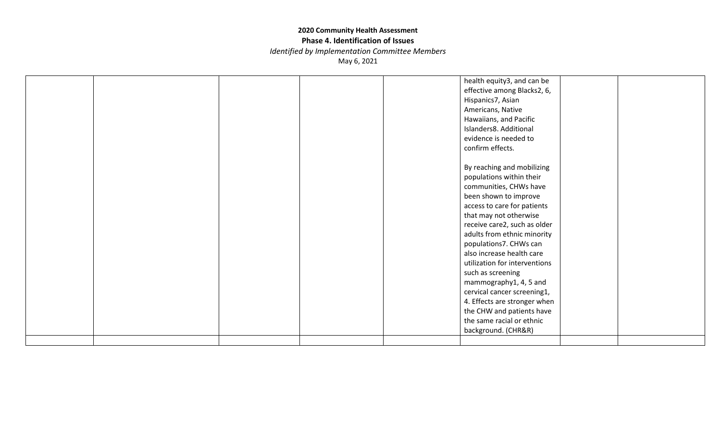#### **Phase 4. Identification of Issues**

*Identified by Implementation Committee Members*

|  |  | health equity3, and can be<br>effective among Blacks2, 6,<br>Hispanics7, Asian<br>Americans, Native<br>Hawaiians, and Pacific<br>Islanders8. Additional<br>evidence is needed to<br>confirm effects.                                                                                                                                                                                                                                                                                                                     |  |
|--|--|--------------------------------------------------------------------------------------------------------------------------------------------------------------------------------------------------------------------------------------------------------------------------------------------------------------------------------------------------------------------------------------------------------------------------------------------------------------------------------------------------------------------------|--|
|  |  | By reaching and mobilizing<br>populations within their<br>communities, CHWs have<br>been shown to improve<br>access to care for patients<br>that may not otherwise<br>receive care2, such as older<br>adults from ethnic minority<br>populations7. CHWs can<br>also increase health care<br>utilization for interventions<br>such as screening<br>mammography1, 4, 5 and<br>cervical cancer screening1,<br>4. Effects are stronger when<br>the CHW and patients have<br>the same racial or ethnic<br>background. (CHR&R) |  |
|  |  |                                                                                                                                                                                                                                                                                                                                                                                                                                                                                                                          |  |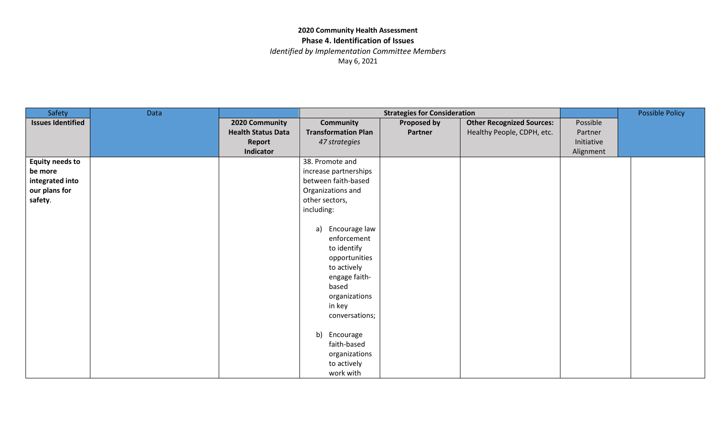*Identified by Implementation Committee Members*

| Safety                   | Data |                           |                            | <b>Strategies for Consideration</b> |                                  | <b>Possible Policy</b> |  |
|--------------------------|------|---------------------------|----------------------------|-------------------------------------|----------------------------------|------------------------|--|
| <b>Issues Identified</b> |      | 2020 Community            | <b>Community</b>           | <b>Proposed by</b>                  | <b>Other Recognized Sources:</b> | Possible               |  |
|                          |      | <b>Health Status Data</b> | <b>Transformation Plan</b> | Partner                             | Healthy People, CDPH, etc.       | Partner                |  |
|                          |      | Report                    | 47 strategies              |                                     |                                  | Initiative             |  |
|                          |      | Indicator                 |                            |                                     |                                  | Alignment              |  |
| <b>Equity needs to</b>   |      |                           | 38. Promote and            |                                     |                                  |                        |  |
| be more                  |      |                           | increase partnerships      |                                     |                                  |                        |  |
| integrated into          |      |                           | between faith-based        |                                     |                                  |                        |  |
| our plans for            |      |                           | Organizations and          |                                     |                                  |                        |  |
| safety.                  |      |                           | other sectors,             |                                     |                                  |                        |  |
|                          |      |                           | including:                 |                                     |                                  |                        |  |
|                          |      |                           |                            |                                     |                                  |                        |  |
|                          |      |                           | Encourage law<br>a)        |                                     |                                  |                        |  |
|                          |      |                           | enforcement                |                                     |                                  |                        |  |
|                          |      |                           | to identify                |                                     |                                  |                        |  |
|                          |      |                           | opportunities              |                                     |                                  |                        |  |
|                          |      |                           | to actively                |                                     |                                  |                        |  |
|                          |      |                           | engage faith-              |                                     |                                  |                        |  |
|                          |      |                           | based                      |                                     |                                  |                        |  |
|                          |      |                           | organizations              |                                     |                                  |                        |  |
|                          |      |                           | in key                     |                                     |                                  |                        |  |
|                          |      |                           | conversations;             |                                     |                                  |                        |  |
|                          |      |                           |                            |                                     |                                  |                        |  |
|                          |      |                           | b)<br>Encourage            |                                     |                                  |                        |  |
|                          |      |                           | faith-based                |                                     |                                  |                        |  |
|                          |      |                           | organizations              |                                     |                                  |                        |  |
|                          |      |                           | to actively                |                                     |                                  |                        |  |
|                          |      |                           | work with                  |                                     |                                  |                        |  |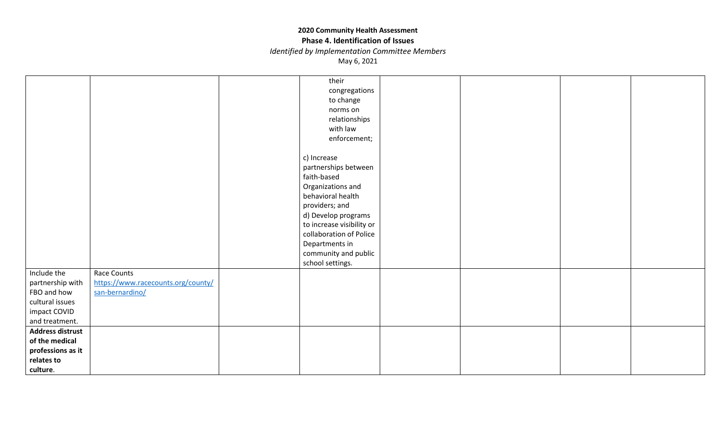#### **Phase 4. Identification of Issues**

*Identified by Implementation Committee Members*

|                                                        | their                                            |  |  |
|--------------------------------------------------------|--------------------------------------------------|--|--|
|                                                        | congregations                                    |  |  |
|                                                        | to change                                        |  |  |
|                                                        | norms on                                         |  |  |
|                                                        | relationships                                    |  |  |
|                                                        | with law                                         |  |  |
|                                                        | enforcement;                                     |  |  |
|                                                        |                                                  |  |  |
|                                                        | c) Increase                                      |  |  |
|                                                        | partnerships between                             |  |  |
|                                                        | faith-based                                      |  |  |
|                                                        | Organizations and                                |  |  |
|                                                        | behavioral health                                |  |  |
|                                                        | providers; and                                   |  |  |
|                                                        |                                                  |  |  |
|                                                        | d) Develop programs<br>to increase visibility or |  |  |
|                                                        | collaboration of Police                          |  |  |
|                                                        |                                                  |  |  |
|                                                        | Departments in                                   |  |  |
|                                                        | community and public                             |  |  |
|                                                        | school settings.                                 |  |  |
| Include the<br>Race Counts                             |                                                  |  |  |
| https://www.racecounts.org/county/<br>partnership with |                                                  |  |  |
| FBO and how<br>san-bernardino/                         |                                                  |  |  |
| cultural issues                                        |                                                  |  |  |
| impact COVID                                           |                                                  |  |  |
| and treatment.                                         |                                                  |  |  |
| <b>Address distrust</b>                                |                                                  |  |  |
| of the medical                                         |                                                  |  |  |
| professions as it                                      |                                                  |  |  |
| relates to                                             |                                                  |  |  |
| culture.                                               |                                                  |  |  |